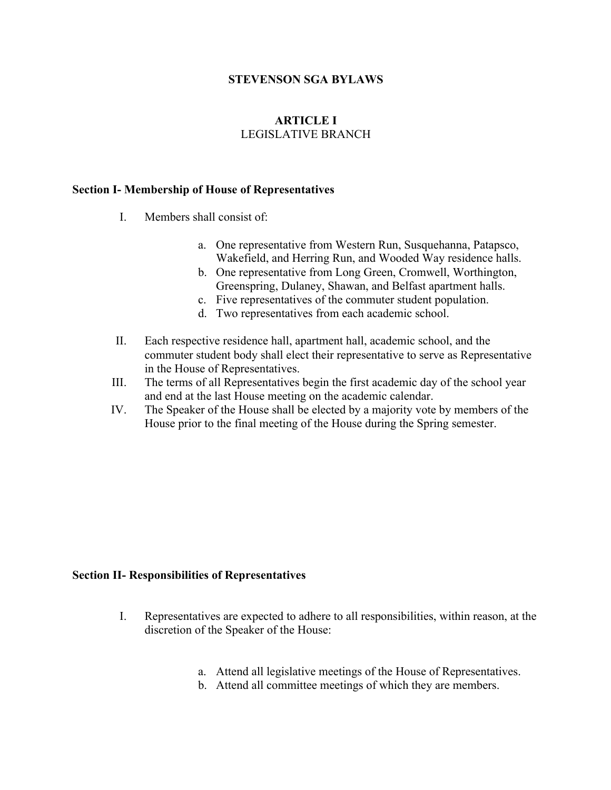#### **STEVENSON SGA BYLAWS**

## **ARTICLE I** LEGISLATIVE BRANCH

#### **Section I- Membership of House of Representatives**

- I. Members shall consist of:
	- a. One representative from Western Run, Susquehanna, Patapsco, Wakefield, and Herring Run, and Wooded Way residence halls.
	- b. One representative from Long Green, Cromwell, Worthington, Greenspring, Dulaney, Shawan, and Belfast apartment halls.
	- c. Five representatives of the commuter student population.
	- d. Two representatives from each academic school.
- II. Each respective residence hall, apartment hall, academic school, and the commuter student body shall elect their representative to serve as Representative in the House of Representatives.
- III. The terms of all Representatives begin the first academic day of the school year and end at the last House meeting on the academic calendar.
- IV. The Speaker of the House shall be elected by a majority vote by members of the House prior to the final meeting of the House during the Spring semester.

#### **Section II- Responsibilities of Representatives**

- I. Representatives are expected to adhere to all responsibilities, within reason, at the discretion of the Speaker of the House:
	- a. Attend all legislative meetings of the House of Representatives.
	- b. Attend all committee meetings of which they are members.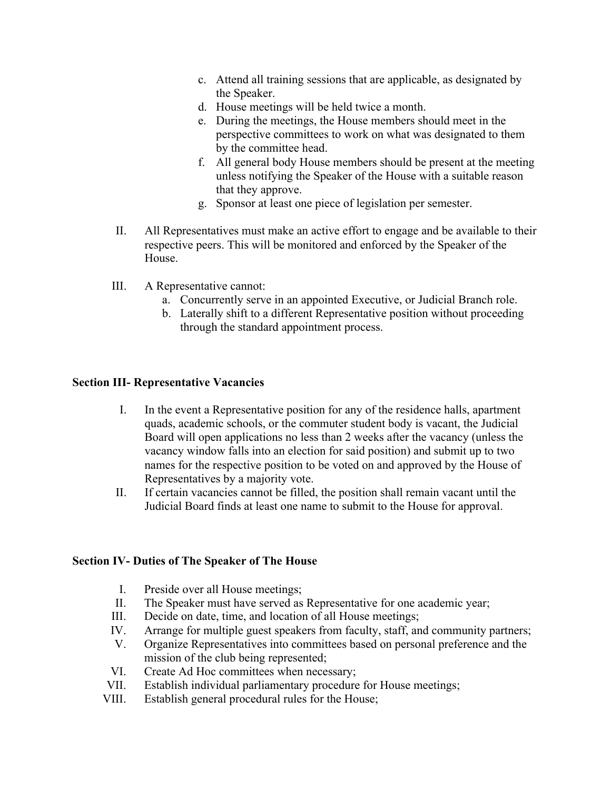- c. Attend all training sessions that are applicable, as designated by the Speaker.
- d. House meetings will be held twice a month.
- e. During the meetings, the House members should meet in the perspective committees to work on what was designated to them by the committee head.
- f. All general body House members should be present at the meeting unless notifying the Speaker of the House with a suitable reason that they approve.
- g. Sponsor at least one piece of legislation per semester.
- II. All Representatives must make an active effort to engage and be available to their respective peers. This will be monitored and enforced by the Speaker of the House.
- III. A Representative cannot:
	- a. Concurrently serve in an appointed Executive, or Judicial Branch role.
	- b. Laterally shift to a different Representative position without proceeding through the standard appointment process.

## **Section III- Representative Vacancies**

- I. In the event a Representative position for any of the residence halls, apartment quads, academic schools, or the commuter student body is vacant, the Judicial Board will open applications no less than 2 weeks after the vacancy (unless the vacancy window falls into an election for said position) and submit up to two names for the respective position to be voted on and approved by the House of Representatives by a majority vote.
- II. If certain vacancies cannot be filled, the position shall remain vacant until the Judicial Board finds at least one name to submit to the House for approval.

## **Section IV- Duties of The Speaker of The House**

- I. Preside over all House meetings;
- II. The Speaker must have served as Representative for one academic year;
- III. Decide on date, time, and location of all House meetings;
- IV. Arrange for multiple guest speakers from faculty, staff, and community partners;
- V. Organize Representatives into committees based on personal preference and the mission of the club being represented;
- VI. Create Ad Hoc committees when necessary;
- VII. Establish individual parliamentary procedure for House meetings;
- VIII. Establish general procedural rules for the House;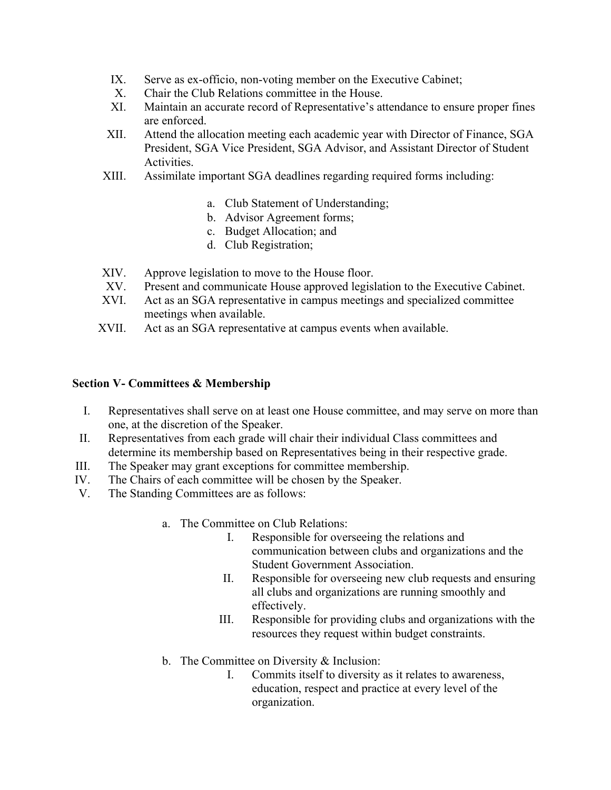- IX. Serve as ex-officio, non-voting member on the Executive Cabinet;
- X. Chair the Club Relations committee in the House.
- XI. Maintain an accurate record of Representative's attendance to ensure proper fines are enforced.
- XII. Attend the allocation meeting each academic year with Director of Finance, SGA President, SGA Vice President, SGA Advisor, and Assistant Director of Student Activities.
- XIII. Assimilate important SGA deadlines regarding required forms including:
	- a. Club Statement of Understanding;
	- b. Advisor Agreement forms;
	- c. Budget Allocation; and
	- d. Club Registration;
- XIV. Approve legislation to move to the House floor.
- XV. Present and communicate House approved legislation to the Executive Cabinet.
- XVI. Act as an SGA representative in campus meetings and specialized committee meetings when available.
- XVII. Act as an SGA representative at campus events when available.

## **Section V- Committees & Membership**

- I. Representatives shall serve on at least one House committee, and may serve on more than one, at the discretion of the Speaker.
- II. Representatives from each grade will chair their individual Class committees and determine its membership based on Representatives being in their respective grade.
- III. The Speaker may grant exceptions for committee membership.
- IV. The Chairs of each committee will be chosen by the Speaker.
- V. The Standing Committees are as follows:
	- a. The Committee on Club Relations:
		- I. Responsible for overseeing the relations and communication between clubs and organizations and the Student Government Association.
		- II. Responsible for overseeing new club requests and ensuring all clubs and organizations are running smoothly and effectively.
		- III. Responsible for providing clubs and organizations with the resources they request within budget constraints.
	- b. The Committee on Diversity & Inclusion:
		- I. Commits itself to diversity as it relates to awareness, education, respect and practice at every level of the organization.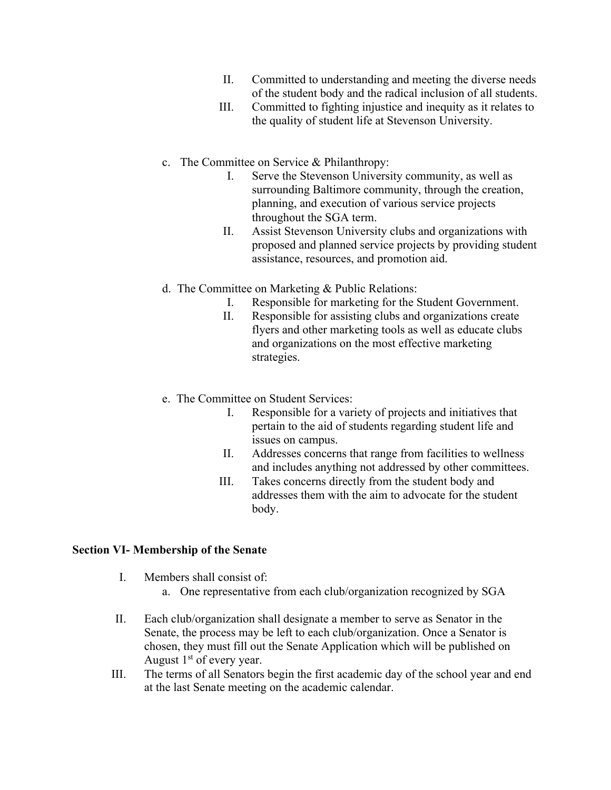- II. Committed to understanding and meeting the diverse needs of the student body and the radical inclusion of all students.
- III. Committed to fighting injustice and inequity as it relates to the quality of student life at Stevenson University.
- c. The Committee on Service & Philanthropy:
	- I. Serve the Stevenson University community, as well as surrounding Baltimore community, through the creation, planning, and execution of various service projects throughout the SGA term.
	- II. Assist Stevenson University clubs and organizations with proposed and planned service projects by providing student assistance, resources, and promotion aid.
- d. The Committee on Marketing & Public Relations:
	- I. Responsible for marketing for the Student Government.
	- II. Responsible for assisting clubs and organizations create flyers and other marketing tools as well as educate clubs and organizations on the most effective marketing strategies.
- e. The Committee on Student Services:
	- I. Responsible for a variety of projects and initiatives that pertain to the aid of students regarding student life and issues on campus.
	- II. Addresses concerns that range from facilities to wellness and includes anything not addressed by other committees.
	- III. Takes concerns directly from the student body and addresses them with the aim to advocate for the student body.

# **Section VI- Membership of the Senate**

- I. Members shall consist of:
	- a. One representative from each club/organization recognized by SGA
- II. Each club/organization shall designate a member to serve as Senator in the Senate, the process may be left to each club/organization. Once a Senator is chosen, they must fill out the Senate Application which will be published on August  $1<sup>st</sup>$  of every year.
- III. The terms of all Senators begin the first academic day of the school year and end at the last Senate meeting on the academic calendar.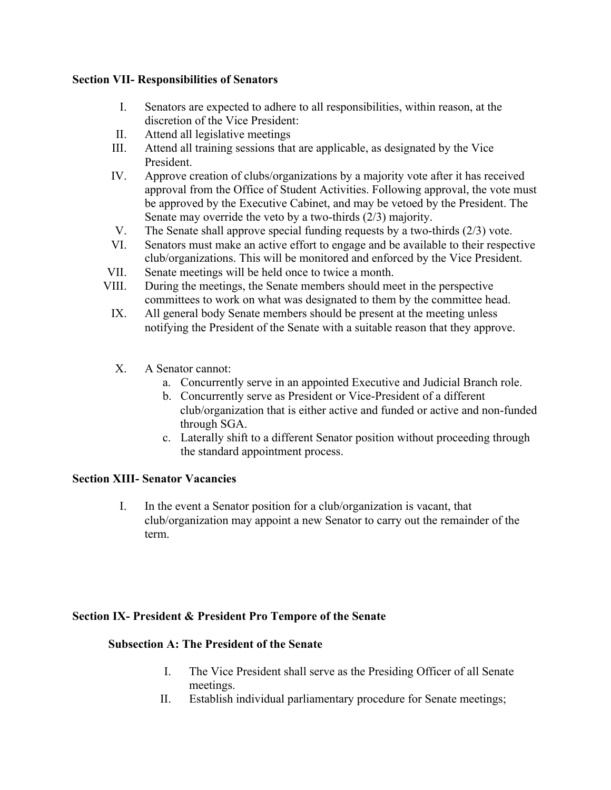## **Section VII- Responsibilities of Senators**

- I. Senators are expected to adhere to all responsibilities, within reason, at the discretion of the Vice President:
- II. Attend all legislative meetings
- III. Attend all training sessions that are applicable, as designated by the Vice President.
- IV. Approve creation of clubs/organizations by a majority vote after it has received approval from the Office of Student Activities. Following approval, the vote must be approved by the Executive Cabinet, and may be vetoed by the President. The Senate may override the veto by a two-thirds (2/3) majority.
- V. The Senate shall approve special funding requests by a two-thirds (2/3) vote.
- VI. Senators must make an active effort to engage and be available to their respective club/organizations. This will be monitored and enforced by the Vice President.
- VII. Senate meetings will be held once to twice a month.
- VIII. During the meetings, the Senate members should meet in the perspective committees to work on what was designated to them by the committee head.
- IX. All general body Senate members should be present at the meeting unless notifying the President of the Senate with a suitable reason that they approve.
- X. A Senator cannot:
	- a. Concurrently serve in an appointed Executive and Judicial Branch role.
	- b. Concurrently serve as President or Vice-President of a different club/organization that is either active and funded or active and non-funded through SGA.
	- c. Laterally shift to a different Senator position without proceeding through the standard appointment process.

# **Section XIII- Senator Vacancies**

I. In the event a Senator position for a club/organization is vacant, that club/organization may appoint a new Senator to carry out the remainder of the term.

# **Section IX- President & President Pro Tempore of the Senate**

# **Subsection A: The President of the Senate**

- I. The Vice President shall serve as the Presiding Officer of all Senate meetings.
- II. Establish individual parliamentary procedure for Senate meetings;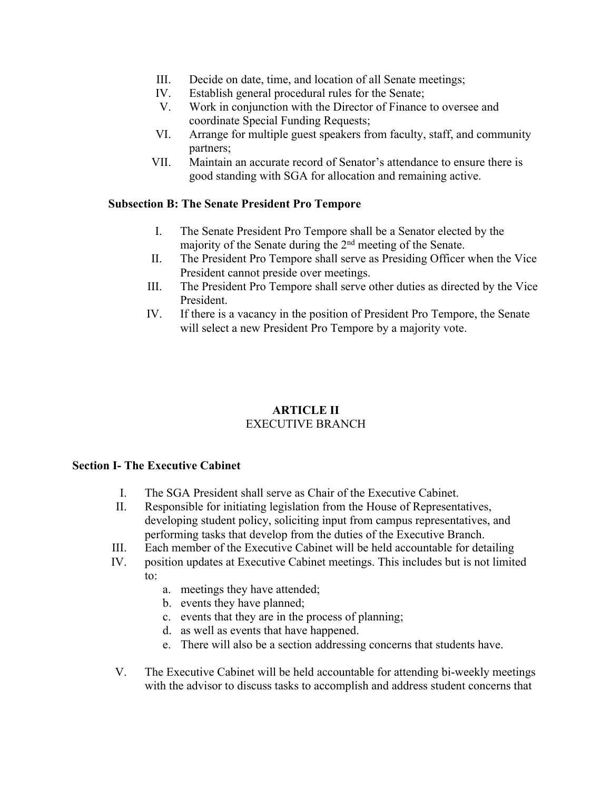- III. Decide on date, time, and location of all Senate meetings;
- IV. Establish general procedural rules for the Senate;
- V. Work in conjunction with the Director of Finance to oversee and coordinate Special Funding Requests;
- VI. Arrange for multiple guest speakers from faculty, staff, and community partners;
- VII. Maintain an accurate record of Senator's attendance to ensure there is good standing with SGA for allocation and remaining active.

## **Subsection B: The Senate President Pro Tempore**

- I. The Senate President Pro Tempore shall be a Senator elected by the majority of the Senate during the 2nd meeting of the Senate.
- II. The President Pro Tempore shall serve as Presiding Officer when the Vice President cannot preside over meetings.
- III. The President Pro Tempore shall serve other duties as directed by the Vice President.
- IV. If there is a vacancy in the position of President Pro Tempore, the Senate will select a new President Pro Tempore by a majority vote.

## **ARTICLE II** EXECUTIVE BRANCH

## **Section I- The Executive Cabinet**

- I. The SGA President shall serve as Chair of the Executive Cabinet.
- II. Responsible for initiating legislation from the House of Representatives, developing student policy, soliciting input from campus representatives, and performing tasks that develop from the duties of the Executive Branch.
- III. Each member of the Executive Cabinet will be held accountable for detailing
- IV. position updates at Executive Cabinet meetings. This includes but is not limited to:
	- a. meetings they have attended;
	- b. events they have planned;
	- c. events that they are in the process of planning;
	- d. as well as events that have happened.
	- e. There will also be a section addressing concerns that students have.
- V. The Executive Cabinet will be held accountable for attending bi-weekly meetings with the advisor to discuss tasks to accomplish and address student concerns that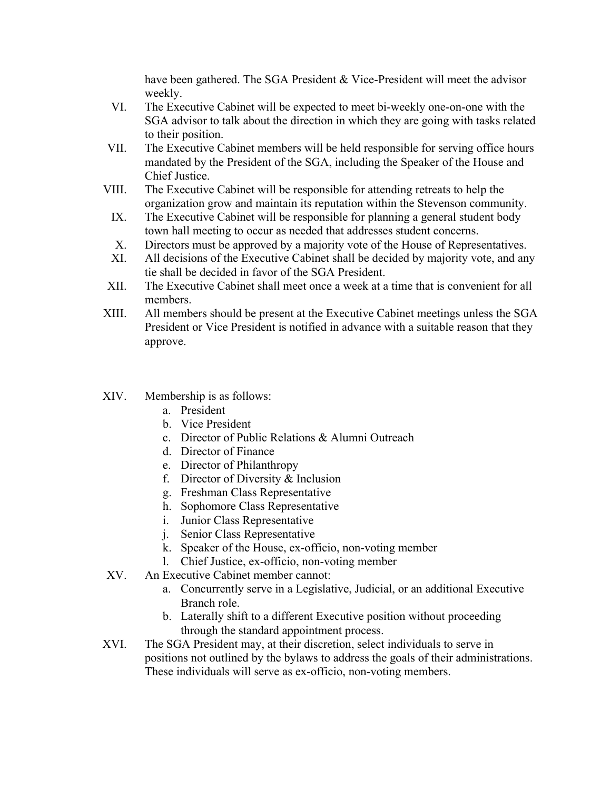have been gathered. The SGA President & Vice-President will meet the advisor weekly.

- VI. The Executive Cabinet will be expected to meet bi-weekly one-on-one with the SGA advisor to talk about the direction in which they are going with tasks related to their position.
- VII. The Executive Cabinet members will be held responsible for serving office hours mandated by the President of the SGA, including the Speaker of the House and Chief Justice.
- VIII. The Executive Cabinet will be responsible for attending retreats to help the organization grow and maintain its reputation within the Stevenson community.
- IX. The Executive Cabinet will be responsible for planning a general student body town hall meeting to occur as needed that addresses student concerns.
- X. Directors must be approved by a majority vote of the House of Representatives.
- XI. All decisions of the Executive Cabinet shall be decided by majority vote, and any tie shall be decided in favor of the SGA President.
- XII. The Executive Cabinet shall meet once a week at a time that is convenient for all members.
- XIII. All members should be present at the Executive Cabinet meetings unless the SGA President or Vice President is notified in advance with a suitable reason that they approve.
- XIV. Membership is as follows:
	- a. President
	- b. Vice President
	- c. Director of Public Relations & Alumni Outreach
	- d. Director of Finance
	- e. Director of Philanthropy
	- f. Director of Diversity & Inclusion
	- g. Freshman Class Representative
	- h. Sophomore Class Representative
	- i. Junior Class Representative
	- j. Senior Class Representative
	- k. Speaker of the House, ex-officio, non-voting member
	- l. Chief Justice, ex-officio, non-voting member
- XV. An Executive Cabinet member cannot:
	- a. Concurrently serve in a Legislative, Judicial, or an additional Executive Branch role.
	- b. Laterally shift to a different Executive position without proceeding through the standard appointment process.
- XVI. The SGA President may, at their discretion, select individuals to serve in positions not outlined by the bylaws to address the goals of their administrations. These individuals will serve as ex-officio, non-voting members.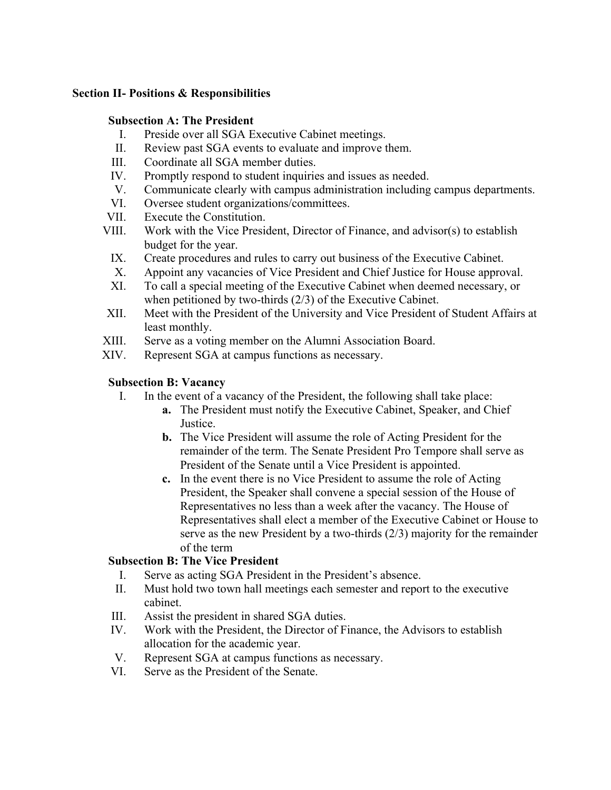## **Section II- Positions & Responsibilities**

## **Subsection A: The President**

- I. Preside over all SGA Executive Cabinet meetings.
- II. Review past SGA events to evaluate and improve them.
- III. Coordinate all SGA member duties.
- IV. Promptly respond to student inquiries and issues as needed.
- V. Communicate clearly with campus administration including campus departments.
- VI. Oversee student organizations/committees.
- VII. Execute the Constitution.
- VIII. Work with the Vice President, Director of Finance, and advisor(s) to establish budget for the year.
	- IX. Create procedures and rules to carry out business of the Executive Cabinet.
	- X. Appoint any vacancies of Vice President and Chief Justice for House approval.
- XI. To call a special meeting of the Executive Cabinet when deemed necessary, or when petitioned by two-thirds (2/3) of the Executive Cabinet.
- XII. Meet with the President of the University and Vice President of Student Affairs at least monthly.
- XIII. Serve as a voting member on the Alumni Association Board.
- XIV. Represent SGA at campus functions as necessary.

## **Subsection B: Vacancy**

- I. In the event of a vacancy of the President, the following shall take place:
	- **a.** The President must notify the Executive Cabinet, Speaker, and Chief Justice.
	- **b.** The Vice President will assume the role of Acting President for the remainder of the term. The Senate President Pro Tempore shall serve as President of the Senate until a Vice President is appointed.
	- **c.** In the event there is no Vice President to assume the role of Acting President, the Speaker shall convene a special session of the House of Representatives no less than a week after the vacancy. The House of Representatives shall elect a member of the Executive Cabinet or House to serve as the new President by a two-thirds (2/3) majority for the remainder of the term

# **Subsection B: The Vice President**

- I. Serve as acting SGA President in the President's absence.
- II. Must hold two town hall meetings each semester and report to the executive cabinet.
- III. Assist the president in shared SGA duties.
- IV. Work with the President, the Director of Finance, the Advisors to establish allocation for the academic year.
- V. Represent SGA at campus functions as necessary.
- VI. Serve as the President of the Senate.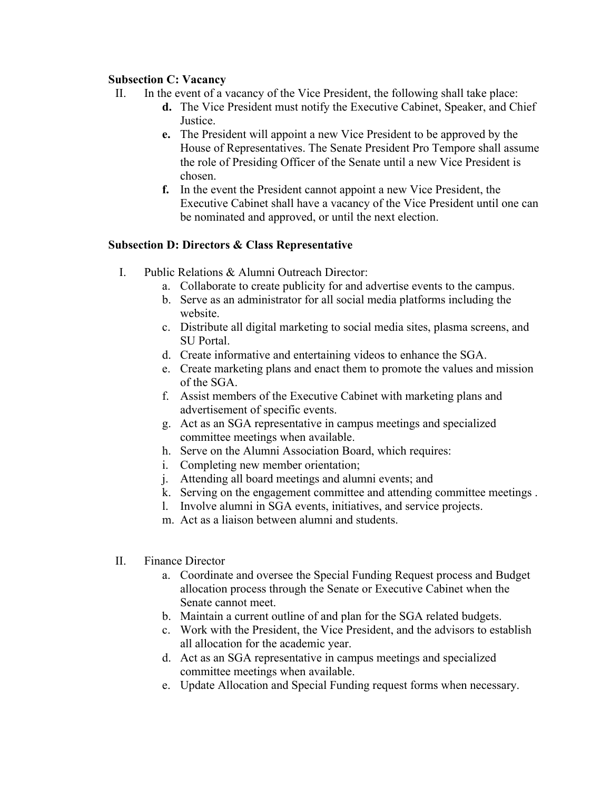## **Subsection C: Vacancy**

- II. In the event of a vacancy of the Vice President, the following shall take place:
	- **d.** The Vice President must notify the Executive Cabinet, Speaker, and Chief Justice.
	- **e.** The President will appoint a new Vice President to be approved by the House of Representatives. The Senate President Pro Tempore shall assume the role of Presiding Officer of the Senate until a new Vice President is chosen.
	- **f.** In the event the President cannot appoint a new Vice President, the Executive Cabinet shall have a vacancy of the Vice President until one can be nominated and approved, or until the next election.

## **Subsection D: Directors & Class Representative**

- I. Public Relations & Alumni Outreach Director:
	- a. Collaborate to create publicity for and advertise events to the campus.
	- b. Serve as an administrator for all social media platforms including the website.
	- c. Distribute all digital marketing to social media sites, plasma screens, and SU Portal.
	- d. Create informative and entertaining videos to enhance the SGA.
	- e. Create marketing plans and enact them to promote the values and mission of the SGA.
	- f. Assist members of the Executive Cabinet with marketing plans and advertisement of specific events.
	- g. Act as an SGA representative in campus meetings and specialized committee meetings when available.
	- h. Serve on the Alumni Association Board, which requires:
	- i. Completing new member orientation;
	- j. Attending all board meetings and alumni events; and
	- k. Serving on the engagement committee and attending committee meetings .
	- l. Involve alumni in SGA events, initiatives, and service projects.
	- m. Act as a liaison between alumni and students.
- II. Finance Director
	- a. Coordinate and oversee the Special Funding Request process and Budget allocation process through the Senate or Executive Cabinet when the Senate cannot meet.
	- b. Maintain a current outline of and plan for the SGA related budgets.
	- c. Work with the President, the Vice President, and the advisors to establish all allocation for the academic year.
	- d. Act as an SGA representative in campus meetings and specialized committee meetings when available.
	- e. Update Allocation and Special Funding request forms when necessary.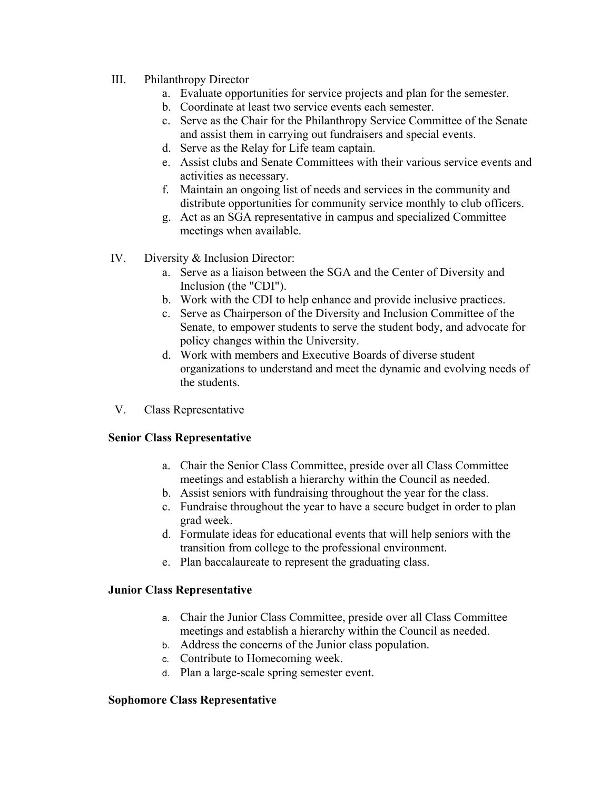- III. Philanthropy Director
	- a. Evaluate opportunities for service projects and plan for the semester.
	- b. Coordinate at least two service events each semester.
	- c. Serve as the Chair for the Philanthropy Service Committee of the Senate and assist them in carrying out fundraisers and special events.
	- d. Serve as the Relay for Life team captain.
	- e. Assist clubs and Senate Committees with their various service events and activities as necessary.
	- f. Maintain an ongoing list of needs and services in the community and distribute opportunities for community service monthly to club officers.
	- g. Act as an SGA representative in campus and specialized Committee meetings when available.
- IV. Diversity & Inclusion Director:
	- a. Serve as a liaison between the SGA and the Center of Diversity and Inclusion (the "CDI").
	- b. Work with the CDI to help enhance and provide inclusive practices.
	- c. Serve as Chairperson of the Diversity and Inclusion Committee of the Senate, to empower students to serve the student body, and advocate for policy changes within the University.
	- d. Work with members and Executive Boards of diverse student organizations to understand and meet the dynamic and evolving needs of the students.
- V. Class Representative

## **Senior Class Representative**

- a. Chair the Senior Class Committee, preside over all Class Committee meetings and establish a hierarchy within the Council as needed.
- b. Assist seniors with fundraising throughout the year for the class.
- c. Fundraise throughout the year to have a secure budget in order to plan grad week.
- d. Formulate ideas for educational events that will help seniors with the transition from college to the professional environment.
- e. Plan baccalaureate to represent the graduating class.

## **Junior Class Representative**

- a. Chair the Junior Class Committee, preside over all Class Committee meetings and establish a hierarchy within the Council as needed.
- b. Address the concerns of the Junior class population.
- c. Contribute to Homecoming week.
- d. Plan a large-scale spring semester event.

## **Sophomore Class Representative**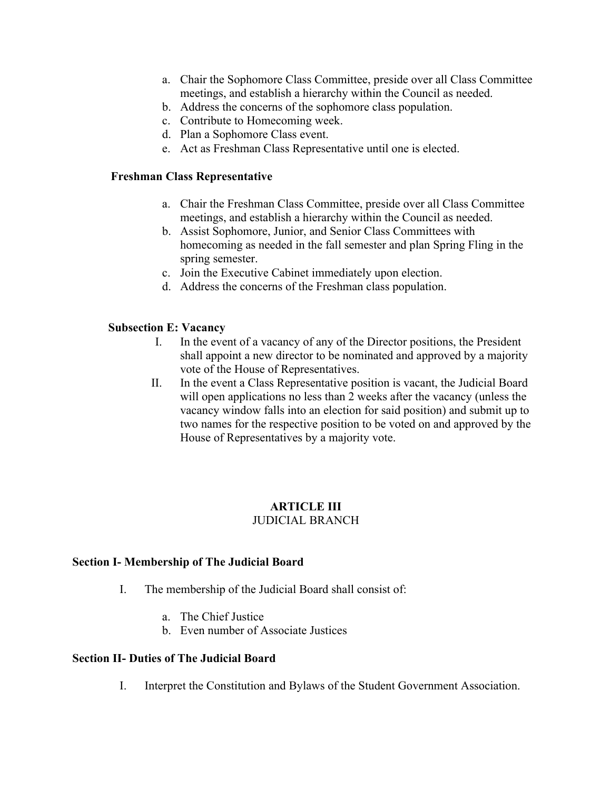- a. Chair the Sophomore Class Committee, preside over all Class Committee meetings, and establish a hierarchy within the Council as needed.
- b. Address the concerns of the sophomore class population.
- c. Contribute to Homecoming week.
- d. Plan a Sophomore Class event.
- e. Act as Freshman Class Representative until one is elected.

## **Freshman Class Representative**

- a. Chair the Freshman Class Committee, preside over all Class Committee meetings, and establish a hierarchy within the Council as needed.
- b. Assist Sophomore, Junior, and Senior Class Committees with homecoming as needed in the fall semester and plan Spring Fling in the spring semester.
- c. Join the Executive Cabinet immediately upon election.
- d. Address the concerns of the Freshman class population.

## **Subsection E: Vacancy**

- I. In the event of a vacancy of any of the Director positions, the President shall appoint a new director to be nominated and approved by a majority vote of the House of Representatives.
- II. In the event a Class Representative position is vacant, the Judicial Board will open applications no less than 2 weeks after the vacancy (unless the vacancy window falls into an election for said position) and submit up to two names for the respective position to be voted on and approved by the House of Representatives by a majority vote.

## **ARTICLE III** JUDICIAL BRANCH

## **Section I- Membership of The Judicial Board**

- I. The membership of the Judicial Board shall consist of:
	- a. The Chief Justice
	- b. Even number of Associate Justices

## **Section II- Duties of The Judicial Board**

I. Interpret the Constitution and Bylaws of the Student Government Association.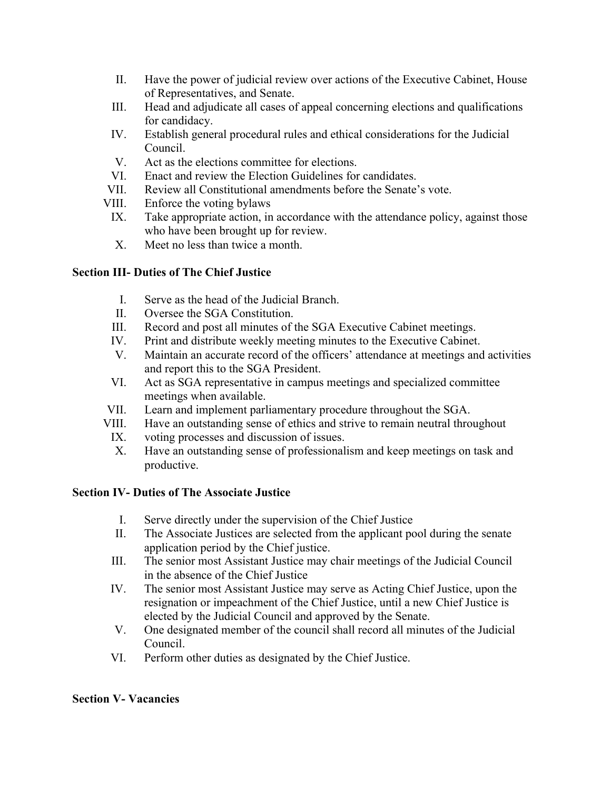- II. Have the power of judicial review over actions of the Executive Cabinet, House of Representatives, and Senate.
- III. Head and adjudicate all cases of appeal concerning elections and qualifications for candidacy.
- IV. Establish general procedural rules and ethical considerations for the Judicial Council.
- V. Act as the elections committee for elections.
- VI. Enact and review the Election Guidelines for candidates.
- VII. Review all Constitutional amendments before the Senate's vote.
- VIII. Enforce the voting bylaws
- IX. Take appropriate action, in accordance with the attendance policy, against those who have been brought up for review.
- X. Meet no less than twice a month.

# **Section III- Duties of The Chief Justice**

- I. Serve as the head of the Judicial Branch.
- II. Oversee the SGA Constitution.
- III. Record and post all minutes of the SGA Executive Cabinet meetings.
- IV. Print and distribute weekly meeting minutes to the Executive Cabinet.
- V. Maintain an accurate record of the officers' attendance at meetings and activities and report this to the SGA President.
- VI. Act as SGA representative in campus meetings and specialized committee meetings when available.
- VII. Learn and implement parliamentary procedure throughout the SGA.
- VIII. Have an outstanding sense of ethics and strive to remain neutral throughout
- IX. voting processes and discussion of issues.
- X. Have an outstanding sense of professionalism and keep meetings on task and productive.

# **Section IV- Duties of The Associate Justice**

- I. Serve directly under the supervision of the Chief Justice
- II. The Associate Justices are selected from the applicant pool during the senate application period by the Chief justice.
- III. The senior most Assistant Justice may chair meetings of the Judicial Council in the absence of the Chief Justice
- IV. The senior most Assistant Justice may serve as Acting Chief Justice, upon the resignation or impeachment of the Chief Justice, until a new Chief Justice is elected by the Judicial Council and approved by the Senate.
- V. One designated member of the council shall record all minutes of the Judicial Council.
- VI. Perform other duties as designated by the Chief Justice.

# **Section V- Vacancies**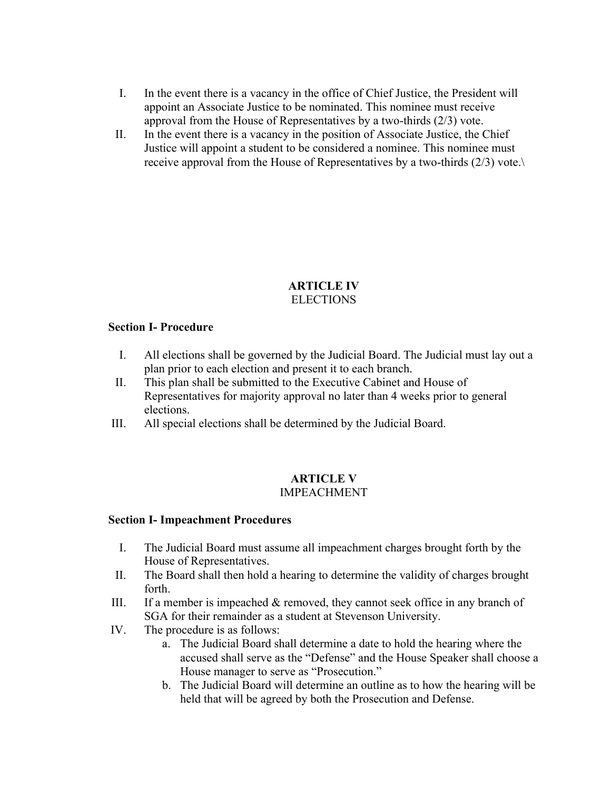- I. In the event there is a vacancy in the office of Chief Justice, the President will appoint an Associate Justice to be nominated. This nominee must receive approval from the House of Representatives by a two-thirds (2/3) vote.
- II. In the event there is a vacancy in the position of Associate Justice, the Chief Justice will appoint a student to be considered a nominee. This nominee must receive approval from the House of Representatives by a two-thirds (2/3) vote.\

## **ARTICLE IV ELECTIONS**

## **Section I- Procedure**

- I. All elections shall be governed by the Judicial Board. The Judicial must lay out a plan prior to each election and present it to each branch.
- II. This plan shall be submitted to the Executive Cabinet and House of Representatives for majority approval no later than 4 weeks prior to general elections.
- III. All special elections shall be determined by the Judicial Board.

#### **ARTICLE V** IMPEACHMENT

## **Section I- Impeachment Procedures**

- I. The Judicial Board must assume all impeachment charges brought forth by the House of Representatives.
- II. The Board shall then hold a hearing to determine the validity of charges brought forth.
- III. If a member is impeached & removed, they cannot seek office in any branch of SGA for their remainder as a student at Stevenson University.
- IV. The procedure is as follows:
	- a. The Judicial Board shall determine a date to hold the hearing where the accused shall serve as the "Defense" and the House Speaker shall choose a House manager to serve as "Prosecution."
	- b. The Judicial Board will determine an outline as to how the hearing will be held that will be agreed by both the Prosecution and Defense.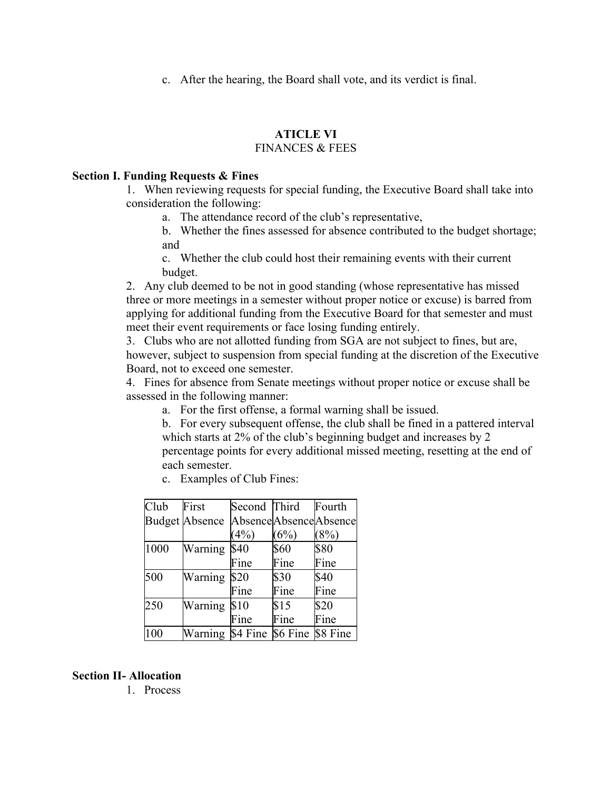c. After the hearing, the Board shall vote, and its verdict is final.

# **ATICLE VI**

# FINANCES & FEES

#### **Section I. Funding Requests & Fines**

1. When reviewing requests for special funding, the Executive Board shall take into consideration the following:

a. The attendance record of the club's representative,

b. Whether the fines assessed for absence contributed to the budget shortage; and

c. Whether the club could host their remaining events with their current budget.

2. Any club deemed to be not in good standing (whose representative has missed three or more meetings in a semester without proper notice or excuse) is barred from applying for additional funding from the Executive Board for that semester and must meet their event requirements or face losing funding entirely.

3. Clubs who are not allotted funding from SGA are not subject to fines, but are, however, subject to suspension from special funding at the discretion of the Executive Board, not to exceed one semester.

4. Fines for absence from Senate meetings without proper notice or excuse shall be assessed in the following manner:

a. For the first offense, a formal warning shall be issued.

b. For every subsequent offense, the club shall be fined in a pattered interval which starts at 2% of the club's beginning budget and increases by 2 percentage points for every additional missed meeting, resetting at the end of each semester.

- Club Budget Absence First Second Third Absence Absence Absence  $(4%)$  $(6%)$ Fourth  $(8\%)$ 1000 Warning \$40 Fine \$60 Fine \$80 Fine 500 Warning \$20 Fine \$30 Fine \$40 Fine 250 Warning \$10 Fine \$15 Fine \$20 Fine 100 Warning \$4 Fine \$6 Fine \$8 Fine
- c. Examples of Club Fines:

#### **Section II- Allocation**

1. Process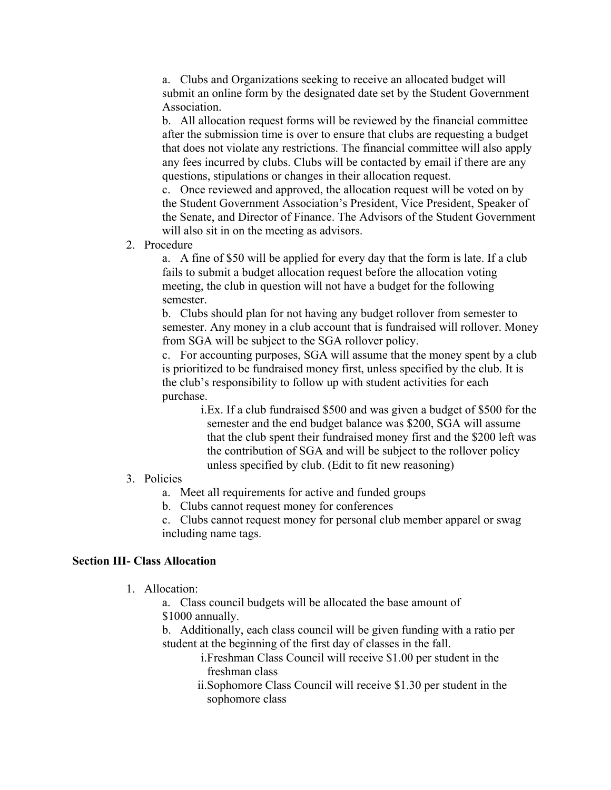a. Clubs and Organizations seeking to receive an allocated budget will submit an online form by the designated date set by the Student Government Association.

b. All allocation request forms will be reviewed by the financial committee after the submission time is over to ensure that clubs are requesting a budget that does not violate any restrictions. The financial committee will also apply any fees incurred by clubs. Clubs will be contacted by email if there are any questions, stipulations or changes in their allocation request.

c. Once reviewed and approved, the allocation request will be voted on by the Student Government Association's President, Vice President, Speaker of the Senate, and Director of Finance. The Advisors of the Student Government will also sit in on the meeting as advisors.

2. Procedure

a. A fine of \$50 will be applied for every day that the form is late. If a club fails to submit a budget allocation request before the allocation voting meeting, the club in question will not have a budget for the following semester.

b. Clubs should plan for not having any budget rollover from semester to semester. Any money in a club account that is fundraised will rollover. Money from SGA will be subject to the SGA rollover policy.

c. For accounting purposes, SGA will assume that the money spent by a club is prioritized to be fundraised money first, unless specified by the club. It is the club's responsibility to follow up with student activities for each purchase.

> i.Ex. If a club fundraised \$500 and was given a budget of \$500 for the semester and the end budget balance was \$200, SGA will assume that the club spent their fundraised money first and the \$200 left was the contribution of SGA and will be subject to the rollover policy unless specified by club. (Edit to fit new reasoning)

#### 3. Policies

a. Meet all requirements for active and funded groups

b. Clubs cannot request money for conferences

c. Clubs cannot request money for personal club member apparel or swag including name tags.

#### **Section III- Class Allocation**

1. Allocation:

a. Class council budgets will be allocated the base amount of \$1000 annually.

b. Additionally, each class council will be given funding with a ratio per student at the beginning of the first day of classes in the fall.

> i.Freshman Class Council will receive \$1.00 per student in the freshman class

ii.Sophomore Class Council will receive \$1.30 per student in the sophomore class